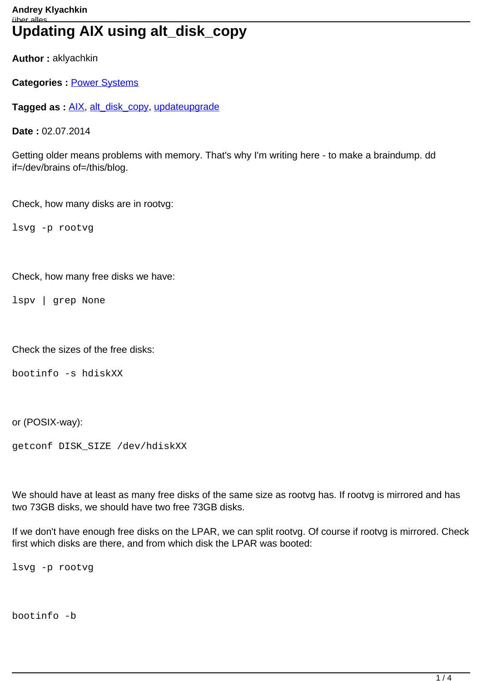**Author :** aklyachkin

**Categories :** [Power Systems](https://klyachkin.de/category/power-systems/)

**Tagged as :** [AIX](https://klyachkin.de/tag/aix/), [alt\\_disk\\_copy,](https://klyachkin.de/tag/alt_disk_copy/) [update](https://klyachkin.de/tag/update/)[upgrade](https://klyachkin.de/tag/upgrade/)

**Date :** 02.07.2014

Getting older means problems with memory. That's why I'm writing here - to make a braindump. dd if=/dev/brains of=/this/blog.

Check, how many disks are in rootvg:

lsvg -p rootvg

Check, how many free disks we have:

lspv | grep None

Check the sizes of the free disks:

bootinfo -s hdiskXX

or (POSIX-way):

getconf DISK\_SIZE /dev/hdiskXX

We should have at least as many free disks of the same size as rootvg has. If rootvg is mirrored and has two 73GB disks, we should have two free 73GB disks.

If we don't have enough free disks on the LPAR, we can split rootvg. Of course if rootvg is mirrored. Check first which disks are there, and from which disk the LPAR was booted:

lsvg -p rootvg

bootinfo -b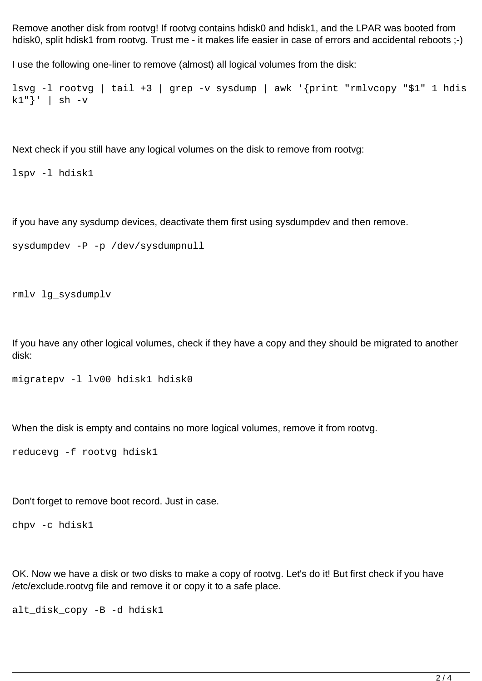Remove another disk from rootvg! If rootvg contains hdisk0 and hdisk1, and the LPAR was booted from hdisk0, split hdisk1 from rootvg. Trust me - it makes life easier in case of errors and accidental reboots :-)

I use the following one-liner to remove (almost) all logical volumes from the disk:

```
lsvg -l rootvg | tail +3 | grep -v sysdump | awk '{print "rmlvcopy "$1" 1 hdis
k1"' | sh -v
```
Next check if you still have any logical volumes on the disk to remove from rootvg:

lspv -l hdisk1

if you have any sysdump devices, deactivate them first using sysdumpdev and then remove.

```
sysdumpdev -P -p /dev/sysdumpnull
```

```
rmlv lg_sysdumplv
```
If you have any other logical volumes, check if they have a copy and they should be migrated to another disk:

```
migratepv -l lv00 hdisk1 hdisk0
```
When the disk is empty and contains no more logical volumes, remove it from rootvg.

reducevg -f rootvg hdisk1

Don't forget to remove boot record. Just in case.

chpv -c hdisk1

OK. Now we have a disk or two disks to make a copy of rootvg. Let's do it! But first check if you have /etc/exclude.rootvg file and remove it or copy it to a safe place.

alt\_disk\_copy -B -d hdisk1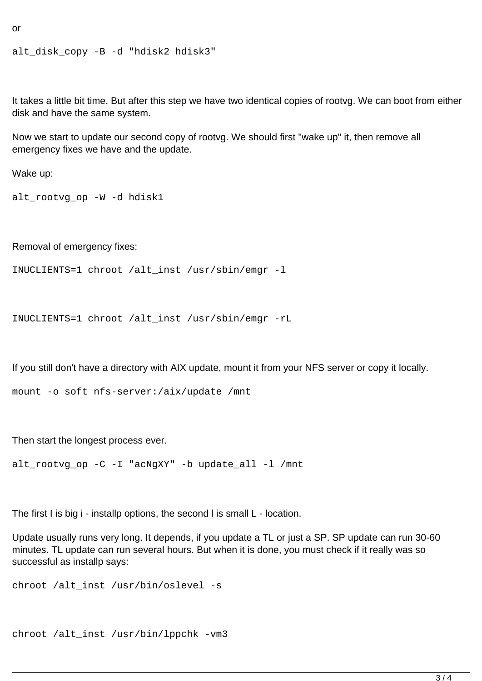```
or
```

```
alt disk copy -B -d "hdisk2 hdisk3"
```
It takes a little bit time. But after this step we have two identical copies of rootvg. We can boot from either disk and have the same system.

Now we start to update our second copy of rootvg. We should first "wake up" it, then remove all emergency fixes we have and the update.

Wake up:

```
alt_rootvg_op -W -d hdisk1
```
Removal of emergency fixes:

```
INUCLIENTS=1 chroot /alt_inst /usr/sbin/emgr -l
```

```
INUCLIENTS=1 chroot /alt_inst /usr/sbin/emgr -rL
```
If you still don't have a directory with AIX update, mount it from your NFS server or copy it locally.

```
mount -o soft nfs-server:/aix/update /mnt
```
Then start the longest process ever.

alt\_rootvg\_op -C -I "acNgXY" -b update\_all -l /mnt

The first I is big i - installp options, the second l is small L - location.

Update usually runs very long. It depends, if you update a TL or just a SP. SP update can run 30-60 minutes. TL update can run several hours. But when it is done, you must check if it really was so successful as installp says:

```
chroot /alt inst /usr/bin/oslevel -s
```

```
chroot /alt_inst /usr/bin/lppchk -vm3
```